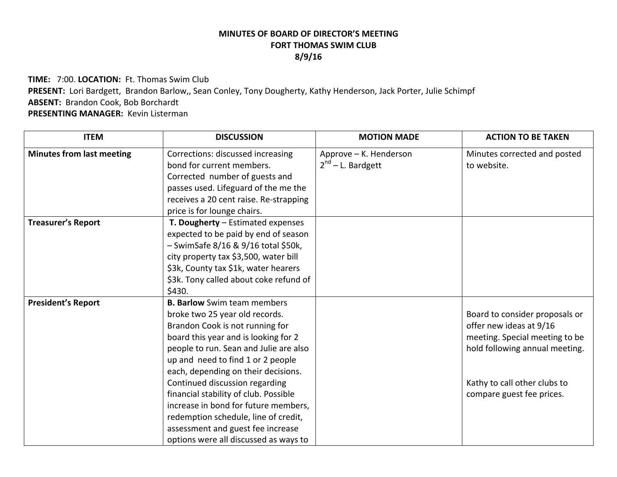## **MINUTES OF BOARD OF DIRECTOR'S MEETINGFORT THOMAS SWIM CLUB 8/9/16**

**TIME:** 7:00. **LOCATION:** Ft. Thomas Swim Club **PRESENT:** Lori Bardgett, Brandon Barlow,, Sean Conley, Tony Dougherty, Kathy Henderson, Jack Porter, Julie Schimpf **ABSENT:** Brandon Cook, Bob Borchardt **PRESENTING MANAGER:** Kevin Listerman

| <b>ITEM</b>                      | <b>DISCUSSION</b>                      | <b>MOTION MADE</b>     | <b>ACTION TO BE TAKEN</b>      |
|----------------------------------|----------------------------------------|------------------------|--------------------------------|
| <b>Minutes from last meeting</b> | Corrections: discussed increasing      | Approve - K. Henderson | Minutes corrected and posted   |
|                                  | bond for current members.              | $2^{nd}$ – L. Bardgett | to website.                    |
|                                  | Corrected number of guests and         |                        |                                |
|                                  | passes used. Lifeguard of the me the   |                        |                                |
|                                  | receives a 20 cent raise. Re-strapping |                        |                                |
|                                  | price is for lounge chairs.            |                        |                                |
| <b>Treasurer's Report</b>        | T. Dougherty - Estimated expenses      |                        |                                |
|                                  | expected to be paid by end of season   |                        |                                |
|                                  | - SwimSafe 8/16 & 9/16 total \$50k,    |                        |                                |
|                                  | city property tax \$3,500, water bill  |                        |                                |
|                                  | \$3k, County tax \$1k, water hearers   |                        |                                |
|                                  | \$3k. Tony called about coke refund of |                        |                                |
|                                  | \$430.                                 |                        |                                |
| <b>President's Report</b>        | <b>B. Barlow</b> Swim team members     |                        |                                |
|                                  | broke two 25 year old records.         |                        | Board to consider proposals or |
|                                  | Brandon Cook is not running for        |                        | offer new ideas at 9/16        |
|                                  | board this year and is looking for 2   |                        | meeting. Special meeting to be |
|                                  | people to run. Sean and Julie are also |                        | hold following annual meeting. |
|                                  | up and need to find 1 or 2 people      |                        |                                |
|                                  | each, depending on their decisions.    |                        |                                |
|                                  | Continued discussion regarding         |                        | Kathy to call other clubs to   |
|                                  | financial stability of club. Possible  |                        | compare guest fee prices.      |
|                                  | increase in bond for future members,   |                        |                                |
|                                  | redemption schedule, line of credit,   |                        |                                |
|                                  | assessment and guest fee increase      |                        |                                |
|                                  | options were all discussed as ways to  |                        |                                |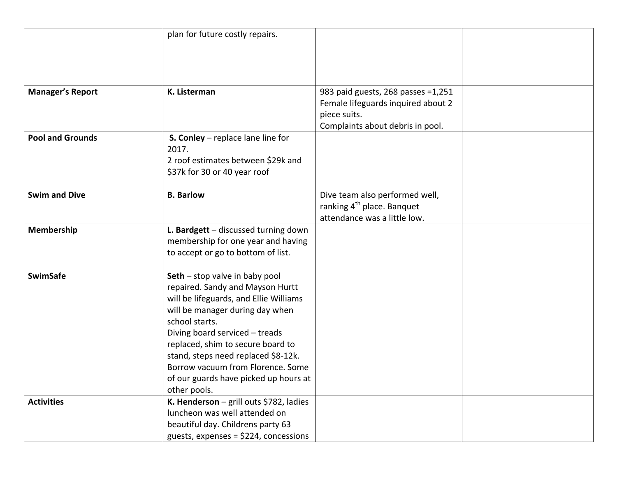|                         | plan for future costly repairs.         |                                        |  |
|-------------------------|-----------------------------------------|----------------------------------------|--|
|                         |                                         |                                        |  |
|                         |                                         |                                        |  |
|                         |                                         |                                        |  |
|                         |                                         |                                        |  |
| <b>Manager's Report</b> | K. Listerman                            | 983 paid guests, 268 passes =1,251     |  |
|                         |                                         | Female lifeguards inquired about 2     |  |
|                         |                                         | piece suits.                           |  |
|                         |                                         | Complaints about debris in pool.       |  |
| <b>Pool and Grounds</b> | S. Conley - replace lane line for       |                                        |  |
|                         | 2017.                                   |                                        |  |
|                         | 2 roof estimates between \$29k and      |                                        |  |
|                         | \$37k for 30 or 40 year roof            |                                        |  |
|                         |                                         |                                        |  |
| <b>Swim and Dive</b>    | <b>B.</b> Barlow                        | Dive team also performed well,         |  |
|                         |                                         | ranking 4 <sup>th</sup> place. Banquet |  |
|                         |                                         | attendance was a little low.           |  |
| Membership              | L. Bardgett - discussed turning down    |                                        |  |
|                         | membership for one year and having      |                                        |  |
|                         | to accept or go to bottom of list.      |                                        |  |
| <b>SwimSafe</b>         | Seth - stop valve in baby pool          |                                        |  |
|                         | repaired. Sandy and Mayson Hurtt        |                                        |  |
|                         | will be lifeguards, and Ellie Williams  |                                        |  |
|                         | will be manager during day when         |                                        |  |
|                         | school starts.                          |                                        |  |
|                         | Diving board serviced - treads          |                                        |  |
|                         | replaced, shim to secure board to       |                                        |  |
|                         | stand, steps need replaced \$8-12k.     |                                        |  |
|                         | Borrow vacuum from Florence. Some       |                                        |  |
|                         | of our guards have picked up hours at   |                                        |  |
|                         | other pools.                            |                                        |  |
| <b>Activities</b>       | K. Henderson - grill outs \$782, ladies |                                        |  |
|                         | luncheon was well attended on           |                                        |  |
|                         | beautiful day. Childrens party 63       |                                        |  |
|                         | guests, expenses = $$224$ , concessions |                                        |  |